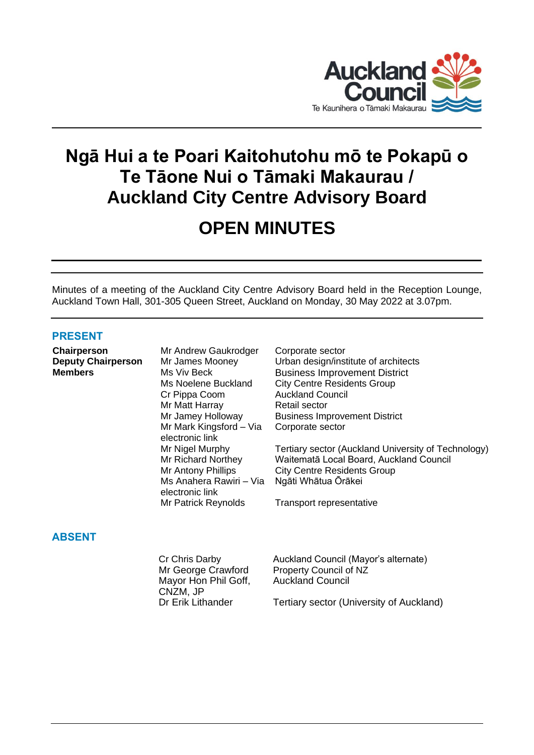

# **Ngā Hui a te Poari Kaitohutohu mō te Pokapū o Te Tāone Nui o Tāmaki Makaurau / Auckland City Centre Advisory Board**

# **OPEN MINUTES**

Minutes of a meeting of the Auckland City Centre Advisory Board held in the Reception Lounge, Auckland Town Hall, 301-305 Queen Street, Auckland on Monday, 30 May 2022 at 3.07pm.

# **PRESENT**

**Chairperson** Mr Andrew Gaukrodger Corporate sector

Cr Pippa Coom Auckland Council Mr Matt Harray Retail sector Mr Mark Kingsford – Via electronic link Ms Anahera Rawiri – Via electronic link Mr Patrick Reynolds Transport representative

**Deputy Chairperson** Mr James Mooney Urban design/institute of architects **Members** Ms Viv Beck Business Improvement District Ms Noelene Buckland City Centre Residents Group Mr Jamey Holloway Business Improvement District Corporate sector

> Mr Nigel Murphy **Tertiary sector (Auckland University of Technology)**<br>Mr Richard Northey **Waitematā Local Board, Auckland Council** Waitematā Local Board, Auckland Council Mr Antony Phillips City Centre Residents Group Ngāti Whātua Ōrākei

# **ABSENT**

Cr Chris Darby Auckland Council (Mayor's alternate) Mr George Crawford Property Council of NZ Mayor Hon Phil Goff, CNZM, JP Auckland Council Dr Erik Lithander Tertiary sector (University of Auckland)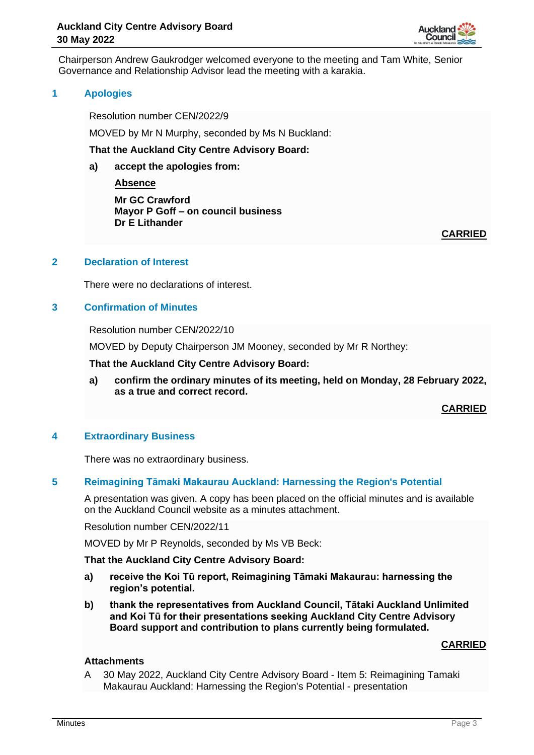

Chairperson Andrew Gaukrodger welcomed everyone to the meeting and Tam White, Senior Governance and Relationship Advisor lead the meeting with a karakia.

# **1 Apologies**

Resolution number CEN/2022/9

MOVED by Mr N Murphy, seconded by Ms N Buckland:

#### **That the Auckland City Centre Advisory Board:**

**a) accept the apologies from:**

**Absence**

**Mr GC Crawford Mayor P Goff – on council business Dr E Lithander**

**CARRIED**

# **2 Declaration of Interest**

There were no declarations of interest.

# **3 Confirmation of Minutes**

Resolution number CEN/2022/10

MOVED by Deputy Chairperson JM Mooney, seconded by Mr R Northey:

**That the Auckland City Centre Advisory Board:**

**a) confirm the ordinary minutes of its meeting, held on Monday, 28 February 2022, as a true and correct record.**

**CARRIED**

# **4 Extraordinary Business**

There was no extraordinary business.

# **5 Reimagining Tāmaki Makaurau Auckland: Harnessing the Region's Potential**

A presentation was given. A copy has been placed on the official minutes and is available on the Auckland Council website as a minutes attachment.

Resolution number CEN/2022/11

MOVED by Mr P Reynolds, seconded by Ms VB Beck:

# **That the Auckland City Centre Advisory Board:**

- **a) receive the Koi Tū report, Reimagining Tāmaki Makaurau: harnessing the region's potential.**
- **b) thank the representatives from Auckland Council, Tātaki Auckland Unlimited and Koi Tū for their presentations seeking Auckland City Centre Advisory Board support and contribution to plans currently being formulated.**

#### **CARRIED**

# **Attachments**

A 30 May 2022, Auckland City Centre Advisory Board - Item 5: Reimagining Tamaki Makaurau Auckland: Harnessing the Region's Potential - presentation